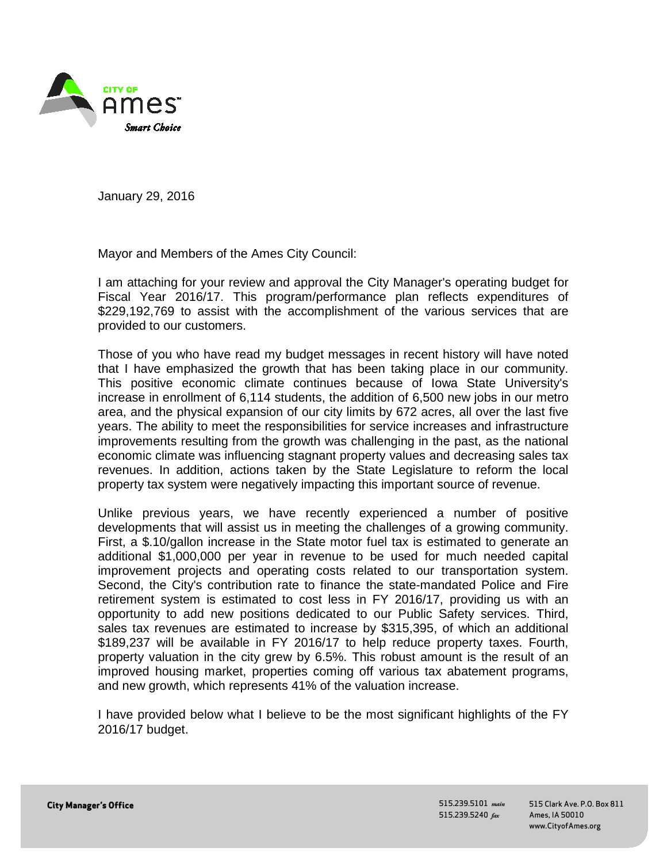

January 29, 2016

Mayor and Members of the Ames City Council:

I am attaching for your review and approval the City Manager's operating budget for Fiscal Year 2016/17. This program/performance plan reflects expenditures of \$229,192,769 to assist with the accomplishment of the various services that are provided to our customers.

Those of you who have read my budget messages in recent history will have noted that I have emphasized the growth that has been taking place in our community. This positive economic climate continues because of Iowa State University's increase in enrollment of 6,114 students, the addition of 6,500 new jobs in our metro area, and the physical expansion of our city limits by 672 acres, all over the last five years. The ability to meet the responsibilities for service increases and infrastructure improvements resulting from the growth was challenging in the past, as the national economic climate was influencing stagnant property values and decreasing sales tax revenues. In addition, actions taken by the State Legislature to reform the local property tax system were negatively impacting this important source of revenue.

Unlike previous years, we have recently experienced a number of positive developments that will assist us in meeting the challenges of a growing community. First, a \$.10/gallon increase in the State motor fuel tax is estimated to generate an additional \$1,000,000 per year in revenue to be used for much needed capital improvement projects and operating costs related to our transportation system. Second, the City's contribution rate to finance the state-mandated Police and Fire retirement system is estimated to cost less in FY 2016/17, providing us with an opportunity to add new positions dedicated to our Public Safety services. Third, sales tax revenues are estimated to increase by \$315,395, of which an additional \$189,237 will be available in FY 2016/17 to help reduce property taxes. Fourth, property valuation in the city grew by 6.5%. This robust amount is the result of an improved housing market, properties coming off various tax abatement programs, and new growth, which represents 41% of the valuation increase.

I have provided below what I believe to be the most significant highlights of the FY 2016/17 budget.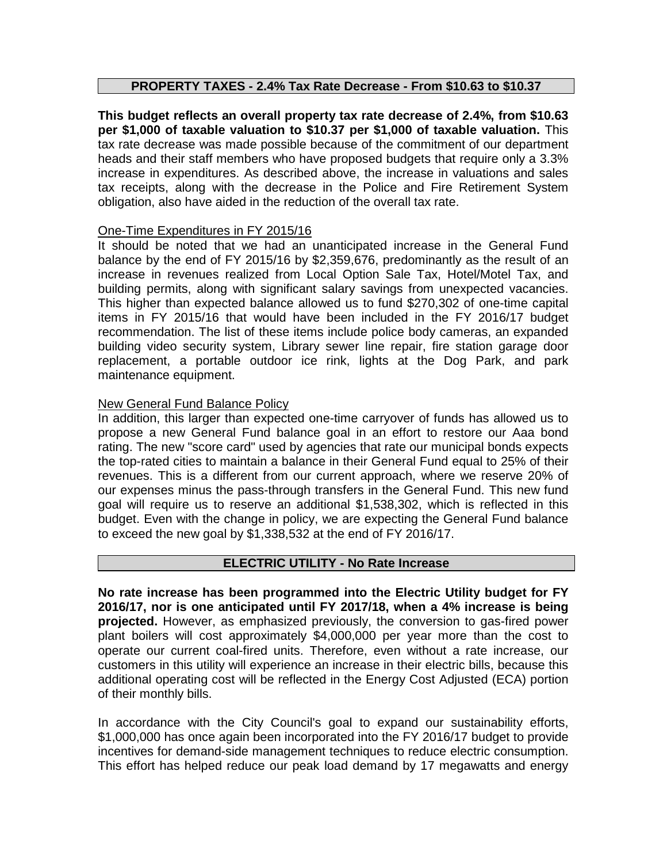# **PROPERTY TAXES - 2.4% Tax Rate Decrease - From \$10.63 to \$10.37**

**This budget reflects an overall property tax rate decrease of 2.4%, from \$10.63 per \$1,000 of taxable valuation to \$10.37 per \$1,000 of taxable valuation.** This tax rate decrease was made possible because of the commitment of our department heads and their staff members who have proposed budgets that require only a 3.3% increase in expenditures. As described above, the increase in valuations and sales tax receipts, along with the decrease in the Police and Fire Retirement System obligation, also have aided in the reduction of the overall tax rate.

# One-Time Expenditures in FY 2015/16

It should be noted that we had an unanticipated increase in the General Fund balance by the end of FY 2015/16 by \$2,359,676, predominantly as the result of an increase in revenues realized from Local Option Sale Tax, Hotel/Motel Tax, and building permits, along with significant salary savings from unexpected vacancies. This higher than expected balance allowed us to fund \$270,302 of one-time capital items in FY 2015/16 that would have been included in the FY 2016/17 budget recommendation. The list of these items include police body cameras, an expanded building video security system, Library sewer line repair, fire station garage door replacement, a portable outdoor ice rink, lights at the Dog Park, and park maintenance equipment.

# New General Fund Balance Policy

In addition, this larger than expected one-time carryover of funds has allowed us to propose a new General Fund balance goal in an effort to restore our Aaa bond rating. The new "score card" used by agencies that rate our municipal bonds expects the top-rated cities to maintain a balance in their General Fund equal to 25% of their revenues. This is a different from our current approach, where we reserve 20% of our expenses minus the pass-through transfers in the General Fund. This new fund goal will require us to reserve an additional \$1,538,302, which is reflected in this budget. Even with the change in policy, we are expecting the General Fund balance to exceed the new goal by \$1,338,532 at the end of FY 2016/17.

# **ELECTRIC UTILITY - No Rate Increase**

**No rate increase has been programmed into the Electric Utility budget for FY 2016/17, nor is one anticipated until FY 2017/18, when a 4% increase is being projected.** However, as emphasized previously, the conversion to gas-fired power plant boilers will cost approximately \$4,000,000 per year more than the cost to operate our current coal-fired units. Therefore, even without a rate increase, our customers in this utility will experience an increase in their electric bills, because this additional operating cost will be reflected in the Energy Cost Adjusted (ECA) portion of their monthly bills.

In accordance with the City Council's goal to expand our sustainability efforts, \$1,000,000 has once again been incorporated into the FY 2016/17 budget to provide incentives for demand-side management techniques to reduce electric consumption. This effort has helped reduce our peak load demand by 17 megawatts and energy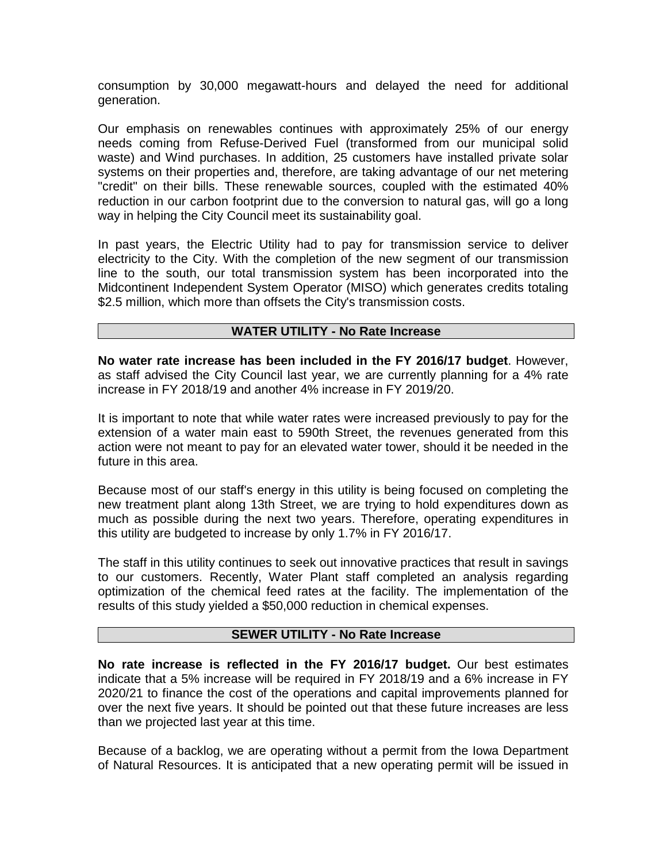consumption by 30,000 megawatt-hours and delayed the need for additional generation.

Our emphasis on renewables continues with approximately 25% of our energy needs coming from Refuse-Derived Fuel (transformed from our municipal solid waste) and Wind purchases. In addition, 25 customers have installed private solar systems on their properties and, therefore, are taking advantage of our net metering "credit" on their bills. These renewable sources, coupled with the estimated 40% reduction in our carbon footprint due to the conversion to natural gas, will go a long way in helping the City Council meet its sustainability goal.

In past years, the Electric Utility had to pay for transmission service to deliver electricity to the City. With the completion of the new segment of our transmission line to the south, our total transmission system has been incorporated into the Midcontinent Independent System Operator (MISO) which generates credits totaling \$2.5 million, which more than offsets the City's transmission costs.

# **WATER UTILITY - No Rate Increase**

**No water rate increase has been included in the FY 2016/17 budget**. However, as staff advised the City Council last year, we are currently planning for a 4% rate increase in FY 2018/19 and another 4% increase in FY 2019/20.

It is important to note that while water rates were increased previously to pay for the extension of a water main east to 590th Street, the revenues generated from this action were not meant to pay for an elevated water tower, should it be needed in the future in this area.

Because most of our staff's energy in this utility is being focused on completing the new treatment plant along 13th Street, we are trying to hold expenditures down as much as possible during the next two years. Therefore, operating expenditures in this utility are budgeted to increase by only 1.7% in FY 2016/17.

The staff in this utility continues to seek out innovative practices that result in savings to our customers. Recently, Water Plant staff completed an analysis regarding optimization of the chemical feed rates at the facility. The implementation of the results of this study yielded a \$50,000 reduction in chemical expenses.

#### **SEWER UTILITY - No Rate Increase**

**No rate increase is reflected in the FY 2016/17 budget.** Our best estimates indicate that a 5% increase will be required in FY 2018/19 and a 6% increase in FY 2020/21 to finance the cost of the operations and capital improvements planned for over the next five years. It should be pointed out that these future increases are less than we projected last year at this time.

Because of a backlog, we are operating without a permit from the Iowa Department of Natural Resources. It is anticipated that a new operating permit will be issued in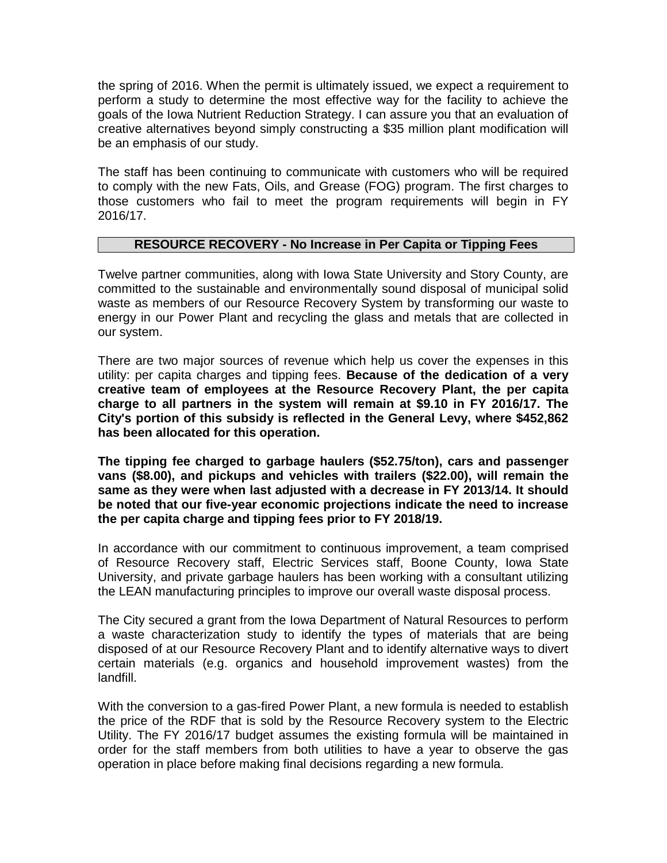the spring of 2016. When the permit is ultimately issued, we expect a requirement to perform a study to determine the most effective way for the facility to achieve the goals of the Iowa Nutrient Reduction Strategy. I can assure you that an evaluation of creative alternatives beyond simply constructing a \$35 million plant modification will be an emphasis of our study.

The staff has been continuing to communicate with customers who will be required to comply with the new Fats, Oils, and Grease (FOG) program. The first charges to those customers who fail to meet the program requirements will begin in FY 2016/17.

# **RESOURCE RECOVERY - No Increase in Per Capita or Tipping Fees**

Twelve partner communities, along with Iowa State University and Story County, are committed to the sustainable and environmentally sound disposal of municipal solid waste as members of our Resource Recovery System by transforming our waste to energy in our Power Plant and recycling the glass and metals that are collected in our system.

There are two major sources of revenue which help us cover the expenses in this utility: per capita charges and tipping fees. **Because of the dedication of a very creative team of employees at the Resource Recovery Plant, the per capita charge to all partners in the system will remain at \$9.10 in FY 2016/17. The City's portion of this subsidy is reflected in the General Levy, where \$452,862 has been allocated for this operation.** 

**The tipping fee charged to garbage haulers (\$52.75/ton), cars and passenger vans (\$8.00), and pickups and vehicles with trailers (\$22.00), will remain the same as they were when last adjusted with a decrease in FY 2013/14. It should be noted that our five-year economic projections indicate the need to increase the per capita charge and tipping fees prior to FY 2018/19.**

In accordance with our commitment to continuous improvement, a team comprised of Resource Recovery staff, Electric Services staff, Boone County, Iowa State University, and private garbage haulers has been working with a consultant utilizing the LEAN manufacturing principles to improve our overall waste disposal process.

The City secured a grant from the Iowa Department of Natural Resources to perform a waste characterization study to identify the types of materials that are being disposed of at our Resource Recovery Plant and to identify alternative ways to divert certain materials (e.g. organics and household improvement wastes) from the landfill.

With the conversion to a gas-fired Power Plant, a new formula is needed to establish the price of the RDF that is sold by the Resource Recovery system to the Electric Utility. The FY 2016/17 budget assumes the existing formula will be maintained in order for the staff members from both utilities to have a year to observe the gas operation in place before making final decisions regarding a new formula.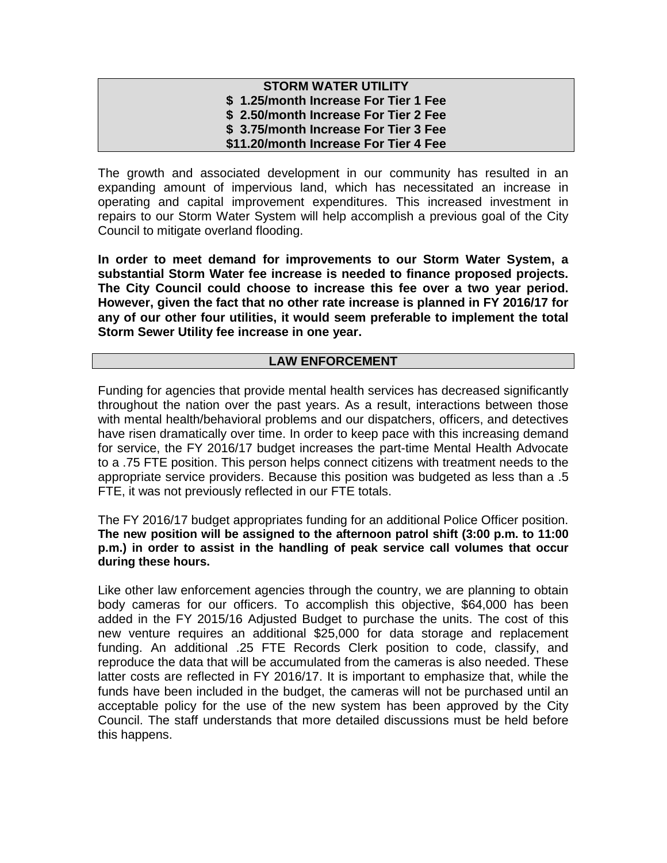### **STORM WATER UTILITY \$ 1.25/month Increase For Tier 1 Fee \$ 2.50/month Increase For Tier 2 Fee \$ 3.75/month Increase For Tier 3 Fee \$11.20/month Increase For Tier 4 Fee**

The growth and associated development in our community has resulted in an expanding amount of impervious land, which has necessitated an increase in operating and capital improvement expenditures. This increased investment in repairs to our Storm Water System will help accomplish a previous goal of the City Council to mitigate overland flooding.

**In order to meet demand for improvements to our Storm Water System, a substantial Storm Water fee increase is needed to finance proposed projects. The City Council could choose to increase this fee over a two year period. However, given the fact that no other rate increase is planned in FY 2016/17 for any of our other four utilities, it would seem preferable to implement the total Storm Sewer Utility fee increase in one year.**

# **LAW ENFORCEMENT**

Funding for agencies that provide mental health services has decreased significantly throughout the nation over the past years. As a result, interactions between those with mental health/behavioral problems and our dispatchers, officers, and detectives have risen dramatically over time. In order to keep pace with this increasing demand for service, the FY 2016/17 budget increases the part-time Mental Health Advocate to a .75 FTE position. This person helps connect citizens with treatment needs to the appropriate service providers. Because this position was budgeted as less than a .5 FTE, it was not previously reflected in our FTE totals.

The FY 2016/17 budget appropriates funding for an additional Police Officer position. **The new position will be assigned to the afternoon patrol shift (3:00 p.m. to 11:00 p.m.) in order to assist in the handling of peak service call volumes that occur during these hours.**

Like other law enforcement agencies through the country, we are planning to obtain body cameras for our officers. To accomplish this objective, \$64,000 has been added in the FY 2015/16 Adjusted Budget to purchase the units. The cost of this new venture requires an additional \$25,000 for data storage and replacement funding. An additional .25 FTE Records Clerk position to code, classify, and reproduce the data that will be accumulated from the cameras is also needed. These latter costs are reflected in FY 2016/17. It is important to emphasize that, while the funds have been included in the budget, the cameras will not be purchased until an acceptable policy for the use of the new system has been approved by the City Council. The staff understands that more detailed discussions must be held before this happens.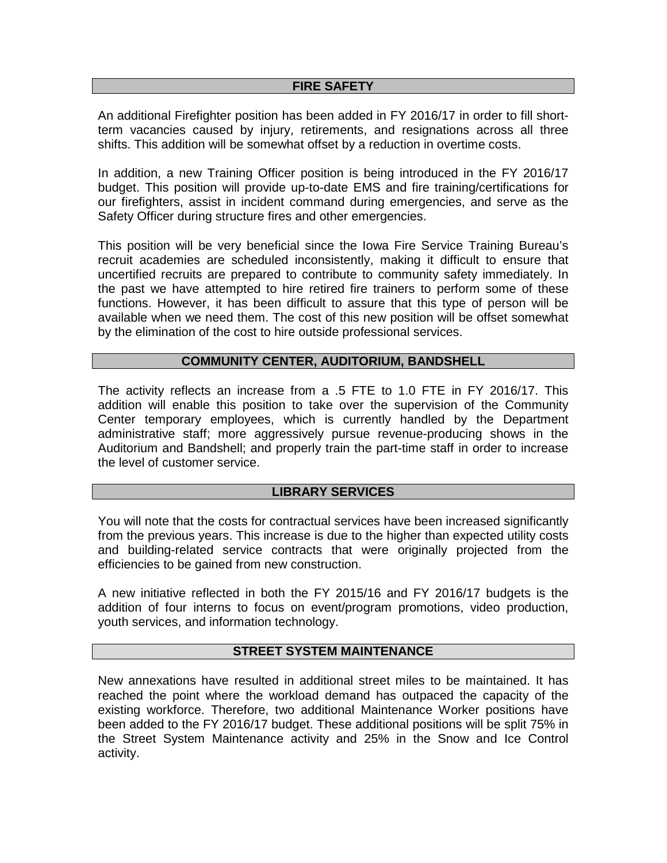### **FIRE SAFETY**

An additional Firefighter position has been added in FY 2016/17 in order to fill shortterm vacancies caused by injury, retirements, and resignations across all three shifts. This addition will be somewhat offset by a reduction in overtime costs.

In addition, a new Training Officer position is being introduced in the FY 2016/17 budget. This position will provide up-to-date EMS and fire training/certifications for our firefighters, assist in incident command during emergencies, and serve as the Safety Officer during structure fires and other emergencies.

This position will be very beneficial since the Iowa Fire Service Training Bureau's recruit academies are scheduled inconsistently, making it difficult to ensure that uncertified recruits are prepared to contribute to community safety immediately. In the past we have attempted to hire retired fire trainers to perform some of these functions. However, it has been difficult to assure that this type of person will be available when we need them. The cost of this new position will be offset somewhat by the elimination of the cost to hire outside professional services.

# **COMMUNITY CENTER, AUDITORIUM, BANDSHELL**

The activity reflects an increase from a .5 FTE to 1.0 FTE in FY 2016/17. This addition will enable this position to take over the supervision of the Community Center temporary employees, which is currently handled by the Department administrative staff; more aggressively pursue revenue-producing shows in the Auditorium and Bandshell; and properly train the part-time staff in order to increase the level of customer service.

# **LIBRARY SERVICES**

You will note that the costs for contractual services have been increased significantly from the previous years. This increase is due to the higher than expected utility costs and building-related service contracts that were originally projected from the efficiencies to be gained from new construction.

A new initiative reflected in both the FY 2015/16 and FY 2016/17 budgets is the addition of four interns to focus on event/program promotions, video production, youth services, and information technology.

#### **STREET SYSTEM MAINTENANCE**

New annexations have resulted in additional street miles to be maintained. It has reached the point where the workload demand has outpaced the capacity of the existing workforce. Therefore, two additional Maintenance Worker positions have been added to the FY 2016/17 budget. These additional positions will be split 75% in the Street System Maintenance activity and 25% in the Snow and Ice Control activity.